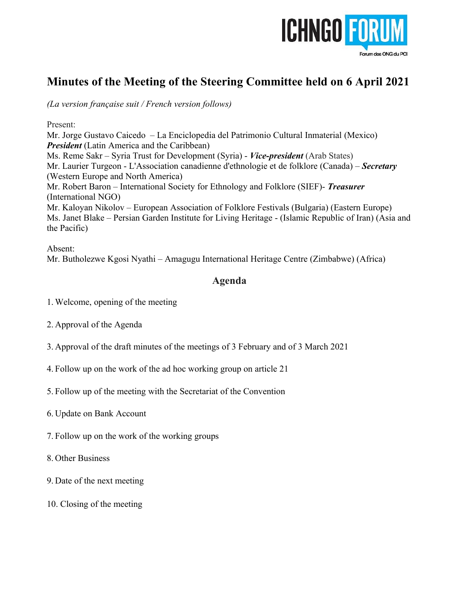

# **Minutes of the Meeting of the Steering Committee held on 6 April 2021**

*(La version française suit / French version follows)*

Present:

Mr. Jorge Gustavo Caicedo – La Enciclopedia del Patrimonio Cultural Inmaterial (Mexico) *President* (Latin America and the Caribbean) Ms. Reme Sakr – Syria Trust for Development (Syria) - *Vice-president* (Arab States) Mr. Laurier Turgeon - L'Association canadienne d'ethnologie et de folklore (Canada) – *Secretary* (Western Europe and North America) Mr. Robert Baron – International Society for Ethnology and Folklore (SIEF)- *Treasurer*  (International NGO) Mr. Kaloyan Nikolov – European Association of Folklore Festivals (Bulgaria) (Eastern Europe) Ms. Janet Blake – Persian Garden Institute for Living Heritage - (Islamic Republic of Iran) (Asia and the Pacific)

Absent: Mr. Butholezwe Kgosi Nyathi – Amagugu International Heritage Centre (Zimbabwe) (Africa)

# **Agenda**

- 1. Welcome, opening of the meeting
- 2. Approval of the Agenda
- 3. Approval of the draft minutes of the meetings of 3 February and of 3 March 2021
- 4. Follow up on the work of the ad hoc working group on article 21
- 5. Follow up of the meeting with the Secretariat of the Convention
- 6. Update on Bank Account
- 7. Follow up on the work of the working groups
- 8. Other Business
- 9. Date of the next meeting
- 10. Closing of the meeting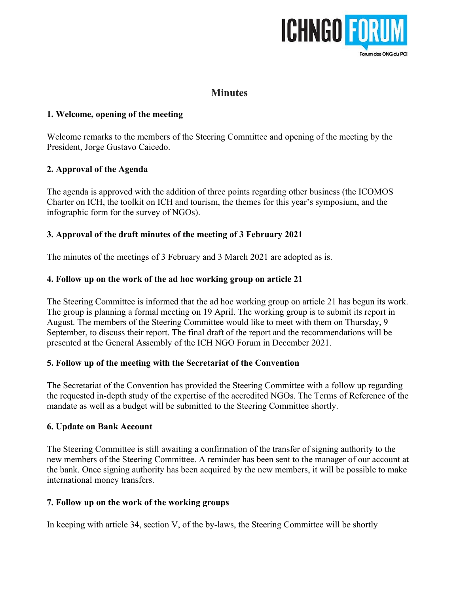

# **Minutes**

### **1. Welcome, opening of the meeting**

Welcome remarks to the members of the Steering Committee and opening of the meeting by the President, Jorge Gustavo Caicedo.

### **2. Approval of the Agenda**

The agenda is approved with the addition of three points regarding other business (the ICOMOS Charter on ICH, the toolkit on ICH and tourism, the themes for this year's symposium, and the infographic form for the survey of NGOs).

## **3. Approval of the draft minutes of the meeting of 3 February 2021**

The minutes of the meetings of 3 February and 3 March 2021 are adopted as is.

## **4. Follow up on the work of the ad hoc working group on article 21**

The Steering Committee is informed that the ad hoc working group on article 21 has begun its work. The group is planning a formal meeting on 19 April. The working group is to submit its report in August. The members of the Steering Committee would like to meet with them on Thursday, 9 September, to discuss their report. The final draft of the report and the recommendations will be presented at the General Assembly of the ICH NGO Forum in December 2021.

### **5. Follow up of the meeting with the Secretariat of the Convention**

The Secretariat of the Convention has provided the Steering Committee with a follow up regarding the requested in-depth study of the expertise of the accredited NGOs. The Terms of Reference of the mandate as well as a budget will be submitted to the Steering Committee shortly.

### **6. Update on Bank Account**

The Steering Committee is still awaiting a confirmation of the transfer of signing authority to the new members of the Steering Committee. A reminder has been sent to the manager of our account at the bank. Once signing authority has been acquired by the new members, it will be possible to make international money transfers.

### **7. Follow up on the work of the working groups**

In keeping with article 34, section V, of the by-laws, the Steering Committee will be shortly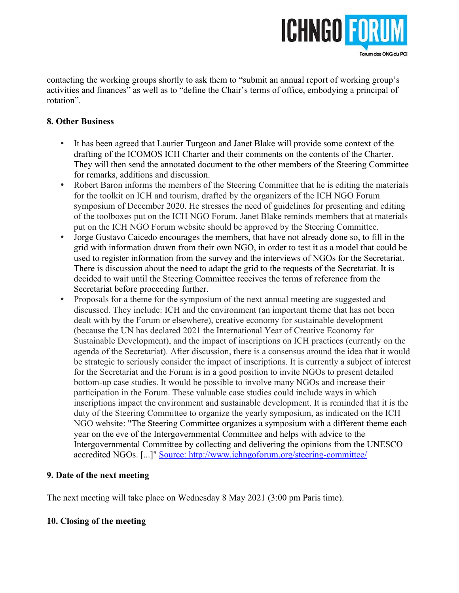

contacting the working groups shortly to ask them to "submit an annual report of working group's activities and finances" as well as to "define the Chair's terms of office, embodying a principal of rotation".

### **8. Other Business**

- It has been agreed that Laurier Turgeon and Janet Blake will provide some context of the drafting of the ICOMOS ICH Charter and their comments on the contents of the Charter. They will then send the annotated document to the other members of the Steering Committee for remarks, additions and discussion.
- Robert Baron informs the members of the Steering Committee that he is editing the materials for the toolkit on ICH and tourism, drafted by the organizers of the ICH NGO Forum symposium of December 2020. He stresses the need of guidelines for presenting and editing of the toolboxes put on the ICH NGO Forum. Janet Blake reminds members that at materials put on the ICH NGO Forum website should be approved by the Steering Committee.
- Jorge Gustavo Caicedo encourages the members, that have not already done so, to fill in the grid with information drawn from their own NGO, in order to test it as a model that could be used to register information from the survey and the interviews of NGOs for the Secretariat. There is discussion about the need to adapt the grid to the requests of the Secretariat. It is decided to wait until the Steering Committee receives the terms of reference from the Secretariat before proceeding further.
- Proposals for a theme for the symposium of the next annual meeting are suggested and discussed. They include: ICH and the environment (an important theme that has not been dealt with by the Forum or elsewhere), creative economy for sustainable development (because the UN has declared 2021 the International Year of Creative Economy for Sustainable Development), and the impact of inscriptions on ICH practices (currently on the agenda of the Secretariat). After discussion, there is a consensus around the idea that it would be strategic to seriously consider the impact of inscriptions. It is currently a subject of interest for the Secretariat and the Forum is in a good position to invite NGOs to present detailed bottom-up case studies. It would be possible to involve many NGOs and increase their participation in the Forum. These valuable case studies could include ways in which inscriptions impact the environment and sustainable development. It is reminded that it is the duty of the Steering Committee to organize the yearly symposium, as indicated on the ICH NGO website: "The Steering Committee organizes a symposium with a different theme each year on the eve of the Intergovernmental Committee and helps with advice to the Intergovernmental Committee by collecting and delivering the opinions from the UNESCO accredited NGOs. [...]" [Source:](source:%C2%A0)<http://www.ichngoforum.org/steering-committee/>

### **9. Date of the next meeting**

The next meeting will take place on Wednesday 8 May 2021 (3:00 pm Paris time).

### **10. Closing of the meeting**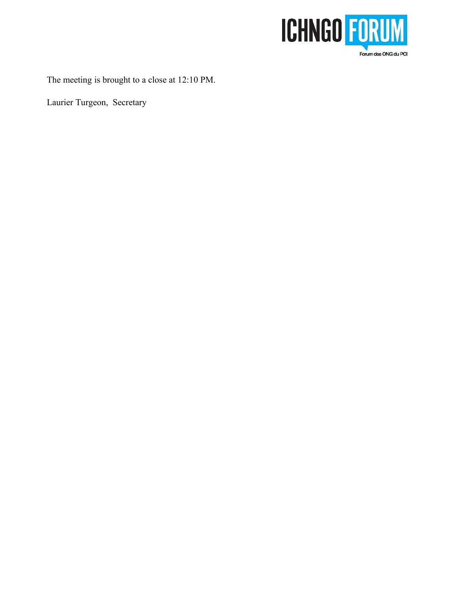

The meeting is brought to a close at 12:10 PM.

Laurier Turgeon, Secretary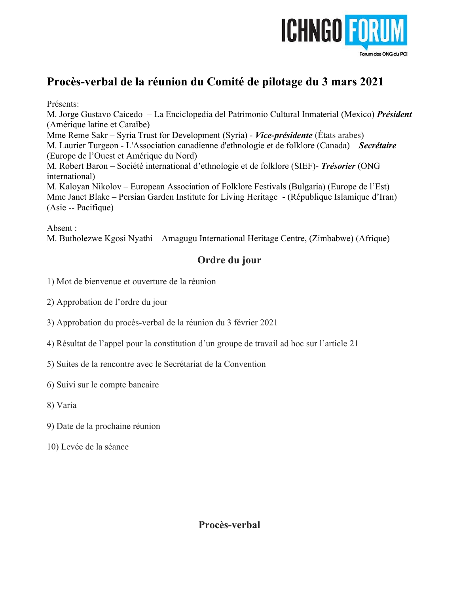

# **Procès-verbal de la réunion du Comité de pilotage du 3 mars 2021**

Présents:

M. Jorge Gustavo Caicedo – La Enciclopedia del Patrimonio Cultural Inmaterial (Mexico) *Président* (Amérique latine et Caraïbe)

Mme Reme Sakr – Syria Trust for Development (Syria) - *Vice-présidente* (États arabes) M. Laurier Turgeon - L'Association canadienne d'ethnologie et de folklore (Canada) – *Secrétaire* (Europe de l'Ouest et Amérique du Nord)

M. Robert Baron – Société international d'ethnologie et de folklore (SIEF)- *Trésorier* (ONG international)

M. Kaloyan Nikolov – European Association of Folklore Festivals (Bulgaria) (Europe de l'Est) Mme Janet Blake – Persian Garden Institute for Living Heritage - (République Islamique d'Iran) (Asie -- Pacifique)

Absent :

M. Butholezwe Kgosi Nyathi – Amagugu International Heritage Centre, (Zimbabwe) (Afrique)

# **Ordre du jour**

- 1) Mot de bienvenue et ouverture de la réunion
- 2) Approbation de l'ordre du jour

3) Approbation du procès-verbal de la réunion du 3 février 2021

- 4) Résultat de l'appel pour la constitution d'un groupe de travail ad hoc sur l'article 21
- 5) Suites de la rencontre avec le Secrétariat de la Convention
- 6) Suivi sur le compte bancaire
- 8) Varia
- 9) Date de la prochaine réunion
- 10) Levée de la séance

**Procès-verbal**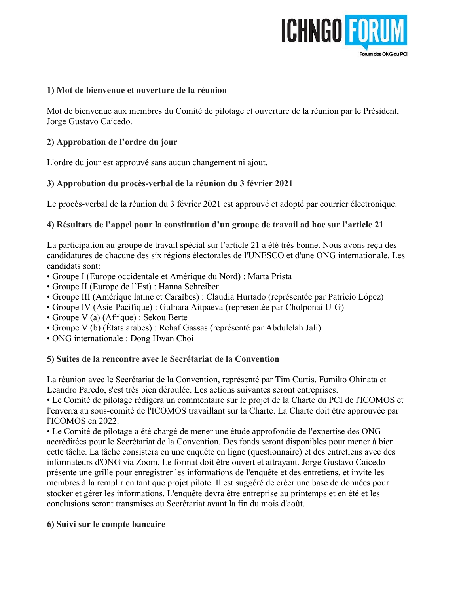

### **1) Mot de bienvenue et ouverture de la réunion**

Mot de bienvenue aux membres du Comité de pilotage et ouverture de la réunion par le Président, Jorge Gustavo Caicedo.

### **2) Approbation de l'ordre du jour**

L'ordre du jour est approuvé sans aucun changement ni ajout.

### **3) Approbation du procès-verbal de la réunion du 3 février 2021**

Le procès-verbal de la réunion du 3 février 2021 est approuvé et adopté par courrier électronique.

### **4) Résultats de l'appel pour la constitution d'un groupe de travail ad hoc sur l'article 21**

La participation au groupe de travail spécial sur l'article 21 a été très bonne. Nous avons reçu des candidatures de chacune des six régions électorales de l'UNESCO et d'une ONG internationale. Les candidats sont:

- Groupe I (Europe occidentale et Amérique du Nord) : Marta Prista
- Groupe II (Europe de l'Est) : Hanna Schreiber
- Groupe III (Amérique latine et Caraïbes) : Claudia Hurtado (représentée par Patricio López)
- Groupe IV (Asie-Pacifique) : Gulnara Aitpaeva (représentée par Cholponai U-G)
- Groupe V (a) (Afrique) : Sekou Berte
- Groupe V (b) (États arabes) : Rehaf Gassas (représenté par Abdulelah Jali)
- ONG internationale : Dong Hwan Choi

#### **5) Suites de la rencontre avec le Secrétariat de la Convention**

La réunion avec le Secrétariat de la Convention, représenté par Tim Curtis, Fumiko Ohinata et Leandro Paredo, s'est très bien déroulée. Les actions suivantes seront entreprises.

• Le Comité de pilotage rédigera un commentaire sur le projet de la Charte du PCI de l'ICOMOS et l'enverra au sous-comité de l'ICOMOS travaillant sur la Charte. La Charte doit être approuvée par l'ICOMOS en 2022.

• Le Comité de pilotage a été chargé de mener une étude approfondie de l'expertise des ONG accréditées pour le Secrétariat de la Convention. Des fonds seront disponibles pour mener à bien cette tâche. La tâche consistera en une enquête en ligne (questionnaire) et des entretiens avec des informateurs d'ONG via Zoom. Le format doit être ouvert et attrayant. Jorge Gustavo Caicedo présente une grille pour enregistrer les informations de l'enquête et des entretiens, et invite les membres à la remplir en tant que projet pilote. Il est suggéré de créer une base de données pour stocker et gérer les informations. L'enquête devra être entreprise au printemps et en été et les conclusions seront transmises au Secrétariat avant la fin du mois d'août.

#### **6) Suivi sur le compte bancaire**